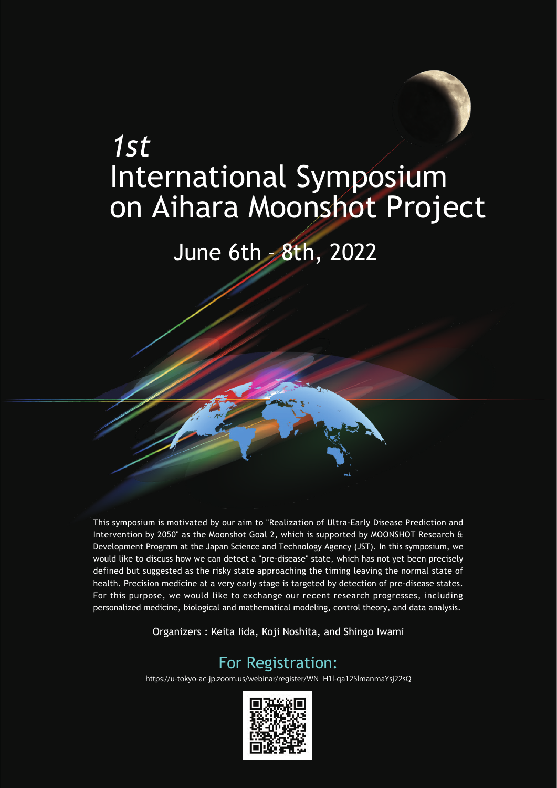# *1st* International Symposium on Aihara Moonshot Project

## June 6th - 8th, 2022

This symposium is motivated by our aim to "Realization of Ultra-Early Disease Prediction and Intervention by 2050" as the Moonshot Goal 2, which is supported by MOONSHOT Research & Development Program at the Japan Science and Technology Agency (JST). In this symposium, we would like to discuss how we can detect a "pre-disease" state, which has not yet been precisely defined but suggested as the risky state approaching the timing leaving the normal state of health. Precision medicine at a very early stage is targeted by detection of pre-disease states. For this purpose, we would like to exchange our recent research progresses, including personalized medicine, biological and mathematical modeling, control theory, and data analysis.

Organizers : Keita Iida, Koji Noshita, and Shingo Iwami

#### For Registration:

https://u-tokyo-ac-jp.zoom.us/webinar/register/WN\_H1l-qa12SlmanmaYsj22sQ